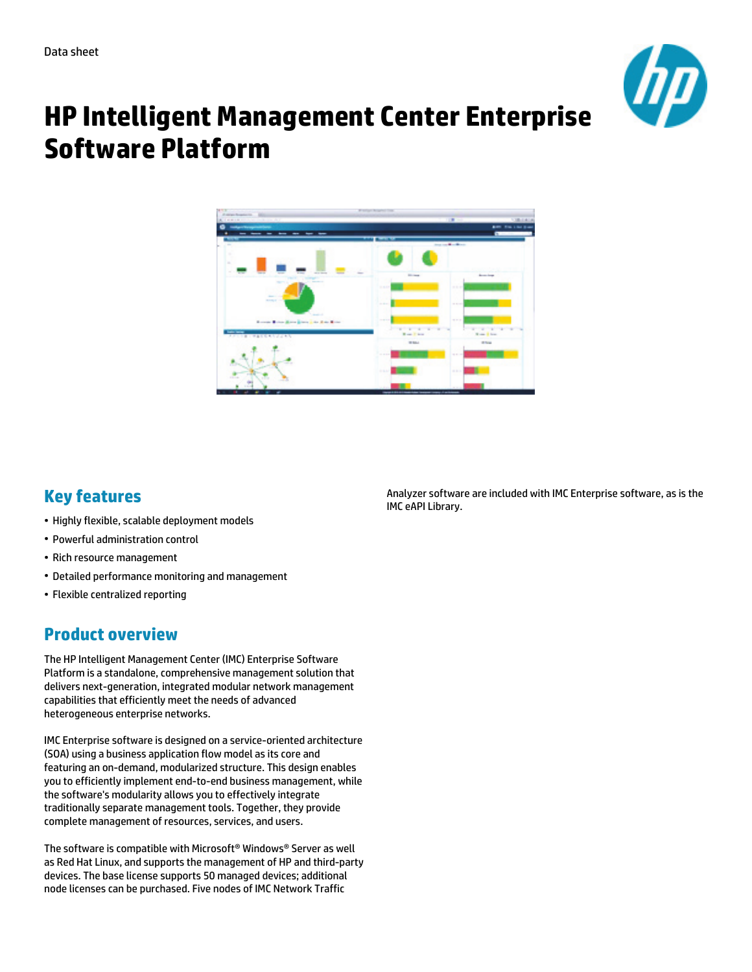

# **HP Intelligent Management Center Enterprise Software Platform**



# **Key features**

- Highly flexible, scalable deployment models
- Powerful administration control
- Rich resource management
- Detailed performance monitoring and management
- Flexible centralized reporting

# **Product overview**

The HP Intelligent Management Center (IMC) Enterprise Software Platform is a standalone, comprehensive management solution that delivers next-generation, integrated modular network management capabilities that efficiently meet the needs of advanced heterogeneous enterprise networks.

IMC Enterprise software is designed on a service-oriented architecture (SOA) using a business application flow model as its core and featuring an on-demand, modularized structure. This design enables you to efficiently implement end-to-end business management, while the software's modularity allows you to effectively integrate traditionally separate management tools. Together, they provide complete management of resources, services, and users.

The software is compatible with Microsoft® Windows® Server as well as Red Hat Linux, and supports the management of HP and third-party devices. The base license supports 50 managed devices; additional node licenses can be purchased. Five nodes of IMC Network Traffic

Analyzer software are included with IMC Enterprise software, as is the IMC eAPI Library.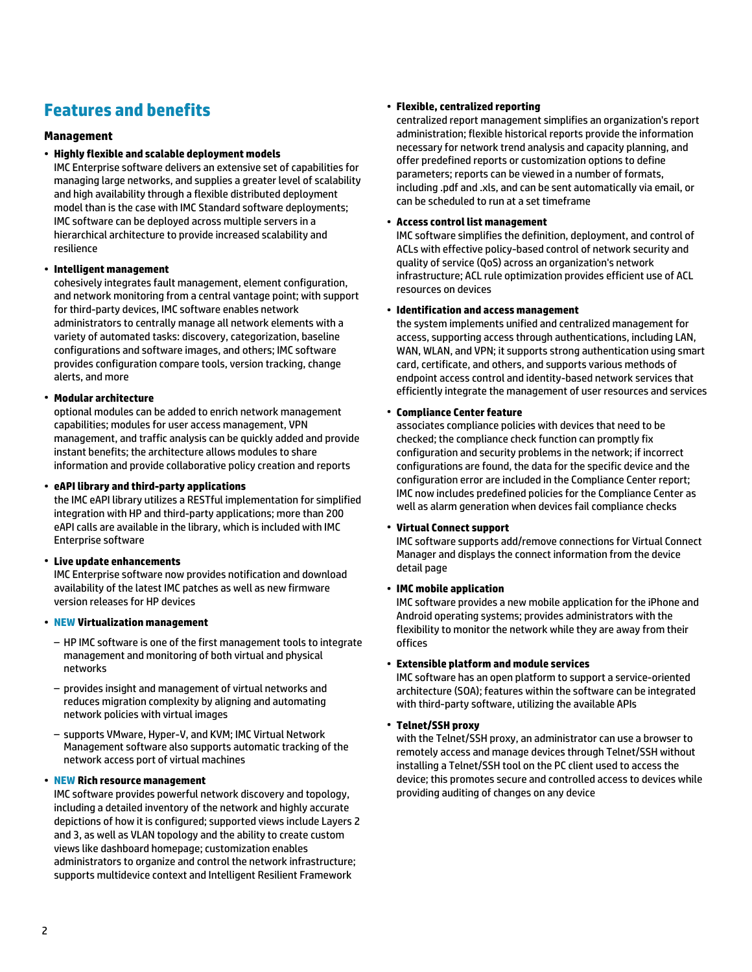# **Features and benefits**

# **Management**

# • **Highly flexible and scalable deployment models**

IMC Enterprise software delivers an extensive set of capabilities for managing large networks, and supplies a greater level of scalability and high availability through a flexible distributed deployment model than is the case with IMC Standard software deployments; IMC software can be deployed across multiple servers in a hierarchical architecture to provide increased scalability and resilience

# • **Intelligent management**

cohesively integrates fault management, element configuration, and network monitoring from a central vantage point; with support for third-party devices, IMC software enables network administrators to centrally manage all network elements with a variety of automated tasks: discovery, categorization, baseline configurations and software images, and others; IMC software provides configuration compare tools, version tracking, change alerts, and more

# • **Modular architecture**

optional modules can be added to enrich network management capabilities; modules for user access management, VPN management, and traffic analysis can be quickly added and provide instant benefits; the architecture allows modules to share information and provide collaborative policy creation and reports

# • **eAPI library and third-party applications**

the IMC eAPI library utilizes a RESTful implementation for simplified integration with HP and third-party applications; more than 200 eAPI calls are available in the library, which is included with IMC Enterprise software

# • **Live update enhancements**

IMC Enterprise software now provides notification and download availability of the latest IMC patches as well as new firmware version releases for HP devices

# • **NEW Virtualization management**

- HP IMC software is one of the first management tools to integrate management and monitoring of both virtual and physical networks
- provides insight and management of virtual networks and reduces migration complexity by aligning and automating network policies with virtual images
- supports VMware, Hyper-V, and KVM; IMC Virtual Network Management software also supports automatic tracking of the network access port of virtual machines

# • **NEW Rich resource management**

IMC software provides powerful network discovery and topology, including a detailed inventory of the network and highly accurate depictions of how it is configured; supported views include Layers 2 and 3, as well as VLAN topology and the ability to create custom views like dashboard homepage; customization enables administrators to organize and control the network infrastructure; supports multidevice context and Intelligent Resilient Framework

# • **Flexible, centralized reporting**

centralized report management simplifies an organization's report administration; flexible historical reports provide the information necessary for network trend analysis and capacity planning, and offer predefined reports or customization options to define parameters; reports can be viewed in a number of formats, including .pdf and .xls, and can be sent automatically via email, or can be scheduled to run at a set timeframe

# • **Access control list management**

IMC software simplifies the definition, deployment, and control of ACLs with effective policy-based control of network security and quality of service (QoS) across an organization's network infrastructure; ACL rule optimization provides efficient use of ACL resources on devices

# • **Identification and access management**

the system implements unified and centralized management for access, supporting access through authentications, including LAN, WAN, WLAN, and VPN; it supports strong authentication using smart card, certificate, and others, and supports various methods of endpoint access control and identity-based network services that efficiently integrate the management of user resources and services

# • **Compliance Center feature**

associates compliance policies with devices that need to be checked; the compliance check function can promptly fix configuration and security problems in the network; if incorrect configurations are found, the data for the specific device and the configuration error are included in the Compliance Center report; IMC now includes predefined policies for the Compliance Center as well as alarm generation when devices fail compliance checks

# • **Virtual Connect support**

IMC software supports add/remove connections for Virtual Connect Manager and displays the connect information from the device detail page

# • **IMC mobile application**

IMC software provides a new mobile application for the iPhone and Android operating systems; provides administrators with the flexibility to monitor the network while they are away from their offices

# • **Extensible platform and module services**

IMC software has an open platform to support a service-oriented architecture (SOA); features within the software can be integrated with third-party software, utilizing the available APIs

# • **Telnet/SSH proxy**

with the Telnet/SSH proxy, an administrator can use a browser to remotely access and manage devices through Telnet/SSH without installing a Telnet/SSH tool on the PC client used to access the device; this promotes secure and controlled access to devices while providing auditing of changes on any device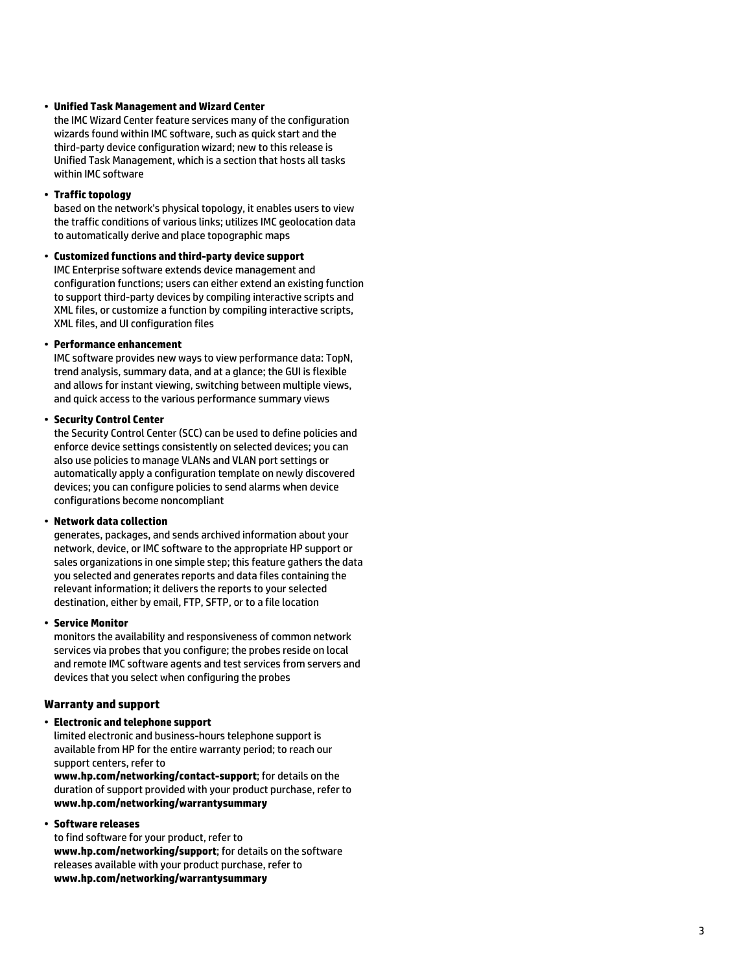#### • **Unified Task Management and Wizard Center**

the IMC Wizard Center feature services many of the configuration wizards found within IMC software, such as quick start and the third-party device configuration wizard; new to this release is Unified Task Management, which is a section that hosts all tasks within IMC software

#### • **Traffic topology**

based on the network's physical topology, it enables users to view the traffic conditions of various links; utilizes IMC geolocation data to automatically derive and place topographic maps

#### • **Customized functions and third-party device support**

IMC Enterprise software extends device management and configuration functions; users can either extend an existing function to support third-party devices by compiling interactive scripts and XML files, or customize a function by compiling interactive scripts, XML files, and UI configuration files

#### • **Performance enhancement**

IMC software provides new ways to view performance data: TopN, trend analysis, summary data, and at a glance; the GUI is flexible and allows for instant viewing, switching between multiple views, and quick access to the various performance summary views

#### • **Security Control Center**

the Security Control Center (SCC) can be used to define policies and enforce device settings consistently on selected devices; you can also use policies to manage VLANs and VLAN port settings or automatically apply a configuration template on newly discovered devices; you can configure policies to send alarms when device configurations become noncompliant

#### • **Network data collection**

generates, packages, and sends archived information about your network, device, or IMC software to the appropriate HP support or sales organizations in one simple step; this feature gathers the data you selected and generates reports and data files containing the relevant information; it delivers the reports to your selected destination, either by email, FTP, SFTP, or to a file location

#### • **Service Monitor**

monitors the availability and responsiveness of common network services via probes that you configure; the probes reside on local and remote IMC software agents and test services from servers and devices that you select when configuring the probes

# **Warranty and support**

# • **Electronic and telephone support**

limited electronic and business-hours telephone support is available from HP for the entire warranty period; to reach our support centers, refer to

**www.hp.com/networking/contact-support**; for details on the duration of support provided with your product purchase, refer to **www.hp.com/networking/warrantysummary**

# • **Software releases**

to find software for your product, refer to **www.hp.com/networking/support**; for details on the software releases available with your product purchase, refer to **www.hp.com/networking/warrantysummary**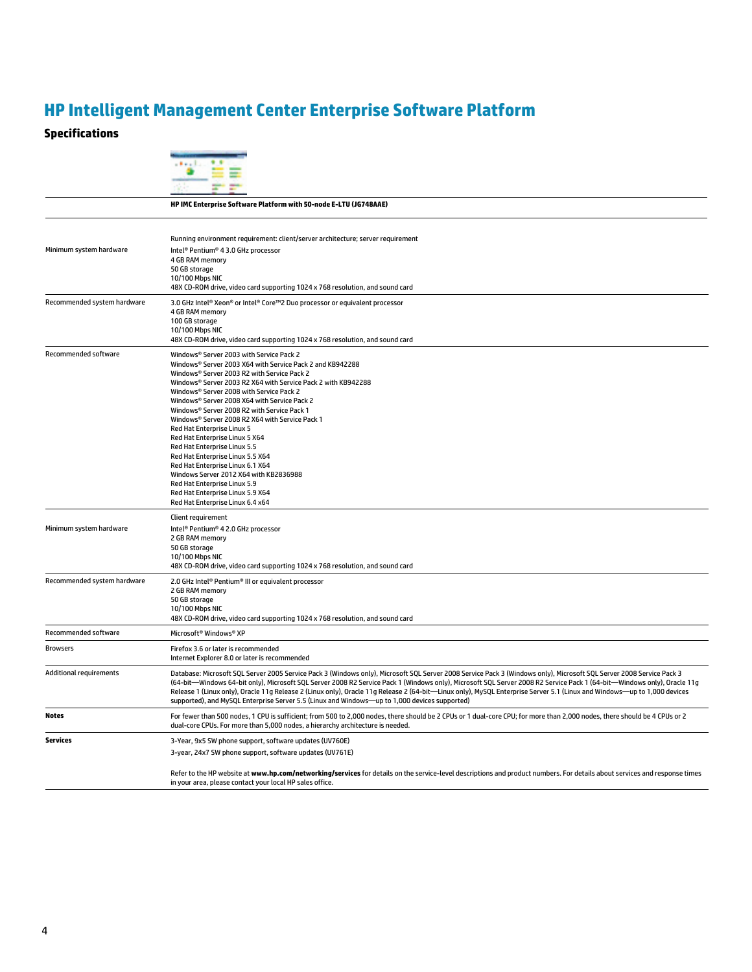# **HP Intelligent Management Center Enterprise Software Platform**

# **Specifications**

|                                | HP IMC Enterprise Software Platform with 50-node E-LTU (JG748AAE)                                                                                                                                                                                                                                                                                                                                                                                                                                                                                                                                                                                                                                                                             |
|--------------------------------|-----------------------------------------------------------------------------------------------------------------------------------------------------------------------------------------------------------------------------------------------------------------------------------------------------------------------------------------------------------------------------------------------------------------------------------------------------------------------------------------------------------------------------------------------------------------------------------------------------------------------------------------------------------------------------------------------------------------------------------------------|
| Minimum system hardware        | Running environment requirement: client/server architecture; server requirement<br>Intel® Pentium® 4 3.0 GHz processor<br>4 GB RAM memory<br>50 GB storage<br>10/100 Mbps NIC<br>48X CD-ROM drive, video card supporting 1024 x 768 resolution, and sound card                                                                                                                                                                                                                                                                                                                                                                                                                                                                                |
| Recommended system hardware    | 3.0 GHz Intel® Xeon® or Intel® Core™2 Duo processor or equivalent processor<br>4 GB RAM memory<br>100 GB storage<br>10/100 Mbps NIC<br>48X CD-ROM drive, video card supporting 1024 x 768 resolution, and sound card                                                                                                                                                                                                                                                                                                                                                                                                                                                                                                                          |
| Recommended software           | Windows® Server 2003 with Service Pack 2<br>Windows® Server 2003 X64 with Service Pack 2 and KB942288<br>Windows® Server 2003 R2 with Service Pack 2<br>Windows® Server 2003 R2 X64 with Service Pack 2 with KB942288<br>Windows® Server 2008 with Service Pack 2<br>Windows® Server 2008 X64 with Service Pack 2<br>Windows® Server 2008 R2 with Service Pack 1<br>Windows® Server 2008 R2 X64 with Service Pack 1<br>Red Hat Enterprise Linux 5<br>Red Hat Enterprise Linux 5 X64<br>Red Hat Enterprise Linux 5.5<br>Red Hat Enterprise Linux 5.5 X64<br>Red Hat Enterprise Linux 6.1 X64<br>Windows Server 2012 X64 with KB2836988<br>Red Hat Enterprise Linux 5.9<br>Red Hat Enterprise Linux 5.9 X64<br>Red Hat Enterprise Linux 6.4 x64 |
| Minimum system hardware        | Client requirement<br>Intel® Pentium® 4 2.0 GHz processor<br>2 GB RAM memory<br>50 GB storage<br>10/100 Mbps NIC<br>48X CD-ROM drive, video card supporting 1024 x 768 resolution, and sound card                                                                                                                                                                                                                                                                                                                                                                                                                                                                                                                                             |
| Recommended system hardware    | 2.0 GHz Intel® Pentium® III or equivalent processor<br>2 GB RAM memory<br>50 GB storage<br>10/100 Mbps NIC<br>48X CD-ROM drive, video card supporting 1024 x 768 resolution, and sound card                                                                                                                                                                                                                                                                                                                                                                                                                                                                                                                                                   |
| Recommended software           | Microsoft <sup>®</sup> Windows® XP                                                                                                                                                                                                                                                                                                                                                                                                                                                                                                                                                                                                                                                                                                            |
| <b>Browsers</b>                | Firefox 3.6 or later is recommended<br>Internet Explorer 8.0 or later is recommended                                                                                                                                                                                                                                                                                                                                                                                                                                                                                                                                                                                                                                                          |
| <b>Additional requirements</b> | Database: Microsoft SQL Server 2005 Service Pack 3 (Windows only), Microsoft SQL Server 2008 Service Pack 3 (Windows only), Microsoft SQL Server 2008 Service Pack 3<br>(64-bit—Windows 64-bit only), Microsoft SQL Server 2008 R2 Service Pack 1 (Windows only), Microsoft SQL Server 2008 R2 Service Pack 1 (64-bit—Windows only), Oracle 11q<br>Release 1 (Linux only), Oracle 11g Release 2 (Linux only), Oracle 11g Release 2 (64-bit-Linux only), MySQL Enterprise Server 5.1 (Linux and Windows-up to 1,000 devices<br>supported), and MySQL Enterprise Server 5.5 (Linux and Windows-up to 1,000 devices supported)                                                                                                                   |
| <b>Notes</b>                   | For fewer than 500 nodes, 1 CPU is sufficient; from 500 to 2,000 nodes, there should be 2 CPUs or 1 dual-core CPU; for more than 2,000 nodes, there should be 4 CPUs or 2<br>dual-core CPUs. For more than 5,000 nodes, a hierarchy architecture is needed.                                                                                                                                                                                                                                                                                                                                                                                                                                                                                   |
| <b>Services</b>                | 3-Year, 9x5 SW phone support, software updates (UV760E)<br>3-year, 24x7 SW phone support, software updates (UV761E)                                                                                                                                                                                                                                                                                                                                                                                                                                                                                                                                                                                                                           |
|                                | Refer to the HP website at www.hp.com/networking/services for details on the service-level descriptions and product numbers. For details about services and response times<br>in your area, please contact your local HP sales office.                                                                                                                                                                                                                                                                                                                                                                                                                                                                                                        |